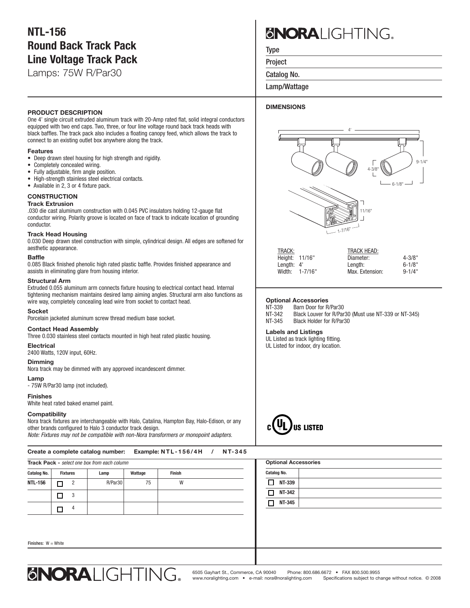# **NTL-156 Round Back Track Pack Line Voltage Track Pack**

Lamps: 75W R/Par30

# **PRODUCT DESCRIPTION**

One 4' single circuit extruded aluminum track with 20-Amp rated flat, solid integral conductors equipped with two end caps. Two, three, or four line voltage round back track heads with black baffles. The track pack also includes a floating canopy feed, which allows the track to connect to an existing outlet box anywhere along the track.

# **Features**

- Deep drawn steel housing for high strength and rigidity.
- Completely concealed wiring.
- Fully adjustable, firm angle position.
- High-strength stainless steel electrical contacts.
- Available in 2, 3 or 4 fixture pack.

# **CONSTRUCTION**

### **Track Extrusion**

.030 die cast aluminum construction with 0.045 PVC insulators holding 12-gauge flat conductor wiring. Polarity groove is located on face of track to indicate location of grounding conductor.

# **Track Head Housing**

0.030 Deep drawn steel construction with simple, cylindrical design. All edges are softened for aesthetic appearance.

## **Baffle**

0.085 Black finished phenolic high rated plastic baffle. Provides finished appearance and assists in eliminating glare from housing interior.

# **Structural Arm**

Extruded 0.055 aluminum arm connects fixture housing to electrical contact head. Internal tightening mechanism maintains desired lamp aiming angles. Structural arm also functions as wire way, completely concealing lead wire from socket to contact head.

#### **Socket**

Porcelain jacketed aluminum screw thread medium base socket.

# **Contact Head Assembly**

Three 0.030 stainless steel contacts mounted in high heat rated plastic housing.

#### **Electrical**

2400 Watts, 120V input, 60Hz.

# **Dimming**

Nora track may be dimmed with any approved incandescent dimmer.

# **Lamp**

- 75W R/Par30 lamp (not included).

# **Finishes**

Finish

White heat rated baked enamel paint.

# **Compatibility**

Nora track fixtures are interchangeable with Halo, Catalina, Hampton Bay, Halo-Edison, or any other brands configured to Halo 3 conductor track design. *Note: Fixtures may not be compatible with non-Nora transformers or monopoint adapters.*

# Create a complete catalog number: Example: NTL-156/4H / NT-345

| <b>Track Pack - select one box from each column</b> |                 |   |         |         |               |  |  |
|-----------------------------------------------------|-----------------|---|---------|---------|---------------|--|--|
| <b>Catalog No.</b>                                  | <b>Fixtures</b> |   | Lamp    | Wattage | <b>Finish</b> |  |  |
| NTL-156                                             |                 | 2 | R/Par30 | 75      | W             |  |  |
|                                                     |                 | 3 |         |         |               |  |  |
|                                                     |                 |   |         |         |               |  |  |

# **SNORA** IGHTING.

Type

Project

Catalog No.

Lamp/Wattage

# **DIMENSIONS**



| TRACK:                | <b>TRACK HEAD:</b> |             |
|-----------------------|--------------------|-------------|
| Height: 11/16"        | Diameter:          | $4 - 3/8"$  |
| Lenath: 4'            | Lenath:            | $6 - 1/8"$  |
| $1 - 7/16"$<br>Width: | Max. Extension:    | $9 - 1/4$ " |
|                       |                    |             |

### **Optional Accessories**

| NT-339 | Barn Door for R/Par30                                |
|--------|------------------------------------------------------|
| NT-342 | Black Louver for R/Par30 (Must use NT-339 or NT-345) |
| NT-345 | Black Holder for R/Par30                             |

#### **Labels and Listings**

UL Listed as track lighting fitting.

UL Listed for indoor, dry location.



| k Pack - select one box from each column |                 |                |         |         |        | <b>Optional Accessories</b> |  |  |  |
|------------------------------------------|-----------------|----------------|---------|---------|--------|-----------------------------|--|--|--|
| og No.                                   | <b>Fixtures</b> |                | Lamp    | Wattage | Finish | <b>Catalog No.</b>          |  |  |  |
| 156                                      | ┓               | $\overline{2}$ | R/Par30 | 75      | W      | □<br>NT-339                 |  |  |  |
|                                          | ⊐               | 3              |         |         |        | NT-342<br>П                 |  |  |  |
|                                          | ⊐               | 4              |         |         |        | NT-345<br>$\Box$            |  |  |  |
|                                          |                 |                |         |         |        |                             |  |  |  |
| es: W = White                            |                 |                |         |         |        |                             |  |  |  |